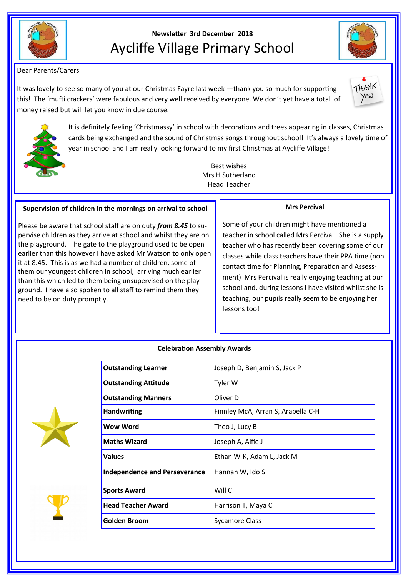

# **Newsletter 3rd December 2018** Aycliffe Village Primary School

Dear Parents/Carers

It was lovely to see so many of you at our Christmas Fayre last week —thank you so much for supporting this! The 'mufti crackers' were fabulous and very well received by everyone. We don't yet have a total of money raised but will let you know in due course.





It is definitely feeling 'Christmassy' in school with decorations and trees appearing in classes, Christmas cards being exchanged and the sound of Christmas songs throughout school! It's always a lovely time of year in school and I am really looking forward to my first Christmas at Aycliffe Village!

> Best wishes Mrs H Sutherland Head Teacher

## **Supervision of children in the mornings on arrival to school**

Please be aware that school staff are on duty *from 8.45* to supervise children as they arrive at school and whilst they are on the playground. The gate to the playground used to be open earlier than this however I have asked Mr Watson to only open it at 8.45. This is as we had a number of children, some of them our youngest children in school, arriving much earlier than this which led to them being unsupervised on the playground. I have also spoken to all staff to remind them they need to be on duty promptly.

## **Mrs Percival**

Some of your children might have mentioned a teacher in school called Mrs Percival. She is a supply teacher who has recently been covering some of our classes while class teachers have their PPA time (non contact time for Planning, Preparation and Assessment) Mrs Percival is really enjoying teaching at our school and, during lessons I have visited whilst she is teaching, our pupils really seem to be enjoying her lessons too!

## **Celebration Assembly Awards**

**Outstanding Learner** Joseph D, Benjamin S, Jack P



| <b>Outstanding Attitude</b>          | Tyler W                            |
|--------------------------------------|------------------------------------|
| <b>Outstanding Manners</b>           | Oliver D                           |
| <b>Handwriting</b>                   | Finnley McA, Arran S, Arabella C-H |
| Wow Word                             | Theo J, Lucy B                     |
| <b>Maths Wizard</b>                  | Joseph A, Alfie J                  |
| <b>Values</b>                        | Ethan W-K, Adam L, Jack M          |
| <b>Independence and Perseverance</b> | Hannah W, Ido S                    |
| <b>Sports Award</b>                  | Will C                             |
| <b>Head Teacher Award</b>            | Harrison T, Maya C                 |
| <b>Golden Broom</b>                  | <b>Sycamore Class</b>              |
|                                      |                                    |